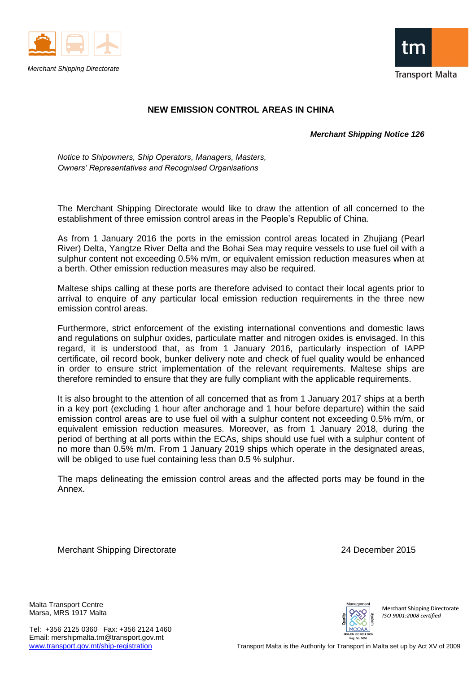



## **NEW EMISSION CONTROL AREAS IN CHINA**

*Merchant Shipping Notice 126*

*Notice to Shipowners, Ship Operators, Managers, Masters, Owners' Representatives and Recognised Organisations*

The Merchant Shipping Directorate would like to draw the attention of all concerned to the establishment of three emission control areas in the People's Republic of China.

As from 1 January 2016 the ports in the emission control areas located in Zhujiang (Pearl River) Delta, Yangtze River Delta and the Bohai Sea may require vessels to use fuel oil with a sulphur content not exceeding 0.5% m/m, or equivalent emission reduction measures when at a berth. Other emission reduction measures may also be required.

Maltese ships calling at these ports are therefore advised to contact their local agents prior to arrival to enquire of any particular local emission reduction requirements in the three new emission control areas.

Furthermore, strict enforcement of the existing international conventions and domestic laws and regulations on sulphur oxides, particulate matter and nitrogen oxides is envisaged. In this regard, it is understood that, as from 1 January 2016, particularly inspection of IAPP certificate, oil record book, bunker delivery note and check of fuel quality would be enhanced in order to ensure strict implementation of the relevant requirements. Maltese ships are therefore reminded to ensure that they are fully compliant with the applicable requirements.

It is also brought to the attention of all concerned that as from 1 January 2017 ships at a berth in a key port (excluding 1 hour after anchorage and 1 hour before departure) within the said emission control areas are to use fuel oil with a sulphur content not exceeding 0.5% m/m, or equivalent emission reduction measures. Moreover, as from 1 January 2018, during the period of berthing at all ports within the ECAs, ships should use fuel with a sulphur content of no more than 0.5% m/m. From 1 January 2019 ships which operate in the designated areas, will be obliged to use fuel containing less than 0.5 % sulphur.

The maps delineating the emission control areas and the affected ports may be found in the Annex.

Merchant Shipping Directorate 24 December 2015

Malta Transport Centre Marsa, MRS 1917 Malta

Tel: +356 2125 0360 Fax: +356 2124 1460 Email: mershipmalta.tm@transport.gov.mt



Merchant Shipping Directorate ISO 9001:2008 certified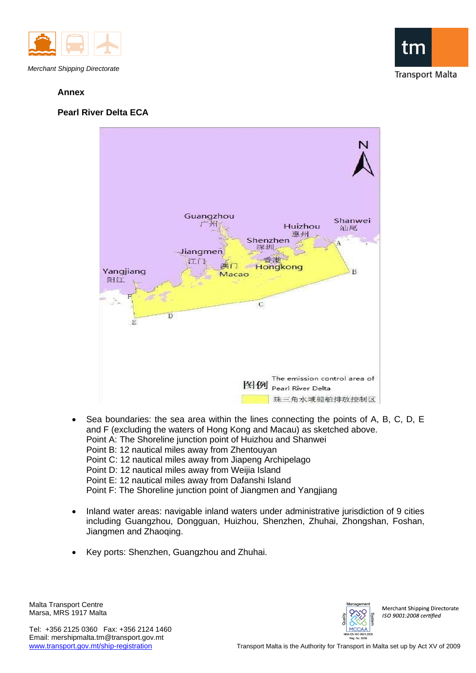

## **Annex**





- Sea boundaries: the sea area within the lines connecting the points of A, B, C, D, E and F (excluding the waters of Hong Kong and Macau) as sketched above. Point A: The Shoreline junction point of Huizhou and Shanwei Point B: 12 nautical miles away from Zhentouyan Point C: 12 nautical miles away from Jiapeng Archipelago Point D: 12 nautical miles away from Weijia Island Point E: 12 nautical miles away from Dafanshi Island Point F: The Shoreline junction point of Jiangmen and Yangjiang
- Inland water areas: navigable inland waters under administrative jurisdiction of 9 cities including Guangzhou, Dongguan, Huizhou, Shenzhen, Zhuhai, Zhongshan, Foshan, Jiangmen and Zhaoqing.
- Key ports: Shenzhen, Guangzhou and Zhuhai.

Malta Transport Centre Marsa, MRS 1917 Malta

Tel: +356 2125 0360 Fax: +356 2124 1460 Email: mershipmalta.tm@transport.gov.mt



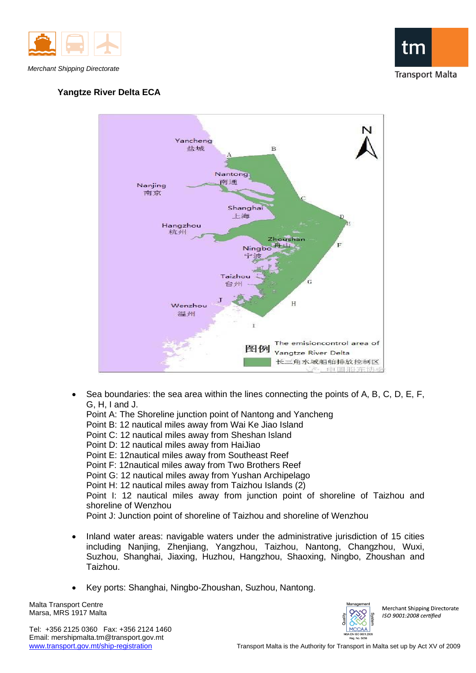

*Merchant Shipping Directorate*

## **Yangtze River Delta ECA**





- Sea boundaries: the sea area within the lines connecting the points of A, B, C, D, E, F, G, H, I and J.
	- Point A: The Shoreline junction point of Nantong and Yancheng Point B: 12 nautical miles away from Wai Ke Jiao Island Point C: 12 nautical miles away from Sheshan Island Point D: 12 nautical miles away from HaiJiao Point E: 12nautical miles away from Southeast Reef Point F: 12nautical miles away from Two Brothers Reef Point G: 12 nautical miles away from Yushan Archipelago Point H: 12 nautical miles away from Taizhou Islands (2) Point I: 12 nautical miles away from junction point of shoreline of Taizhou and shoreline of Wenzhou Point J: Junction point of shoreline of Taizhou and shoreline of Wenzhou
- Inland water areas: navigable waters under the administrative jurisdiction of 15 cities including Nanjing, Zhenjiang, Yangzhou, Taizhou, Nantong, Changzhou, Wuxi, Suzhou, Shanghai, Jiaxing, Huzhou, Hangzhou, Shaoxing, Ningbo, Zhoushan and Taizhou.
- Key ports: Shanghai, Ningbo-Zhoushan, Suzhou, Nantong.

Malta Transport Centre Marsa, MRS 1917 Malta

Tel: +356 2125 0360 Fax: +356 2124 1460 Email: mershipmalta.tm@transport.gov.mt



Merchant Shipping Directorate ISO 9001:2008 certified